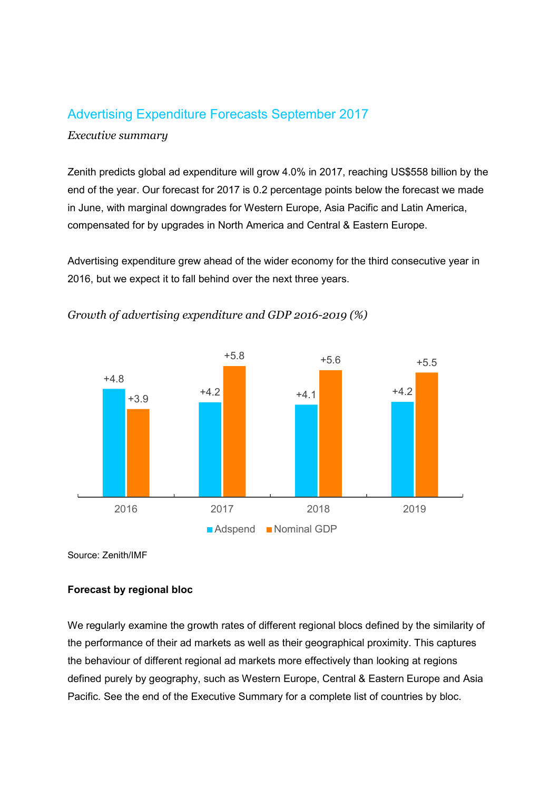# Advertising Expenditure Forecasts September 2017

### Executive summary

Zenith predicts global ad expenditure will grow 4.0% in 2017, reaching US\$558 billion by the end of the year. Our forecast for 2017 is 0.2 percentage points below the forecast we made in June, with marginal downgrades for Western Europe, Asia Pacific and Latin America, compensated for by upgrades in North America and Central & Eastern Europe.

Advertising expenditure grew ahead of the wider economy for the third consecutive year in 2016, but we expect it to fall behind over the next three years.



Growth of advertising expenditure and GDP 2016-2019 (%)

Source: Zenith/IMF

### Forecast by regional bloc

We regularly examine the growth rates of different regional blocs defined by the similarity of the performance of their ad markets as well as their geographical proximity. This captures the behaviour of different regional ad markets more effectively than looking at regions defined purely by geography, such as Western Europe, Central & Eastern Europe and Asia Pacific. See the end of the Executive Summary for a complete list of countries by bloc.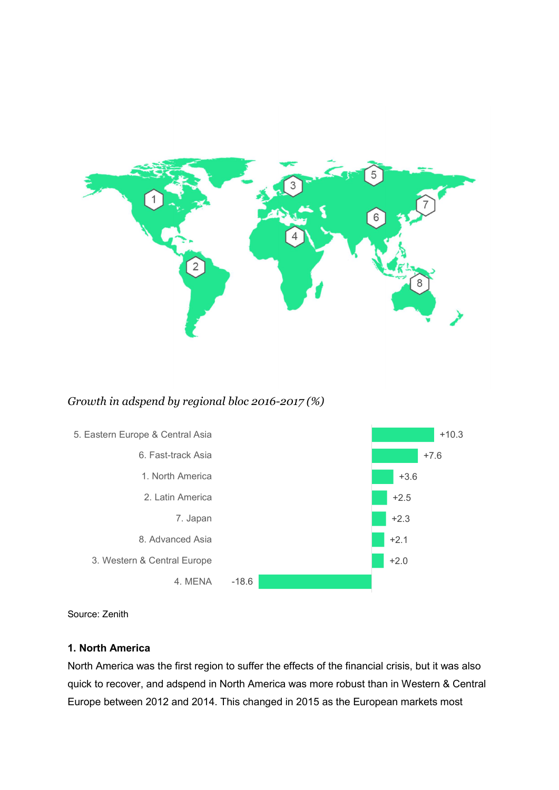

# Growth in adspend by regional bloc 2016-2017 (%)



Source: Zenith

### 1. North America

North America was the first region to suffer the effects of the financial crisis, but it was also quick to recover, and adspend in North America was more robust than in Western & Central Europe between 2012 and 2014. This changed in 2015 as the European markets most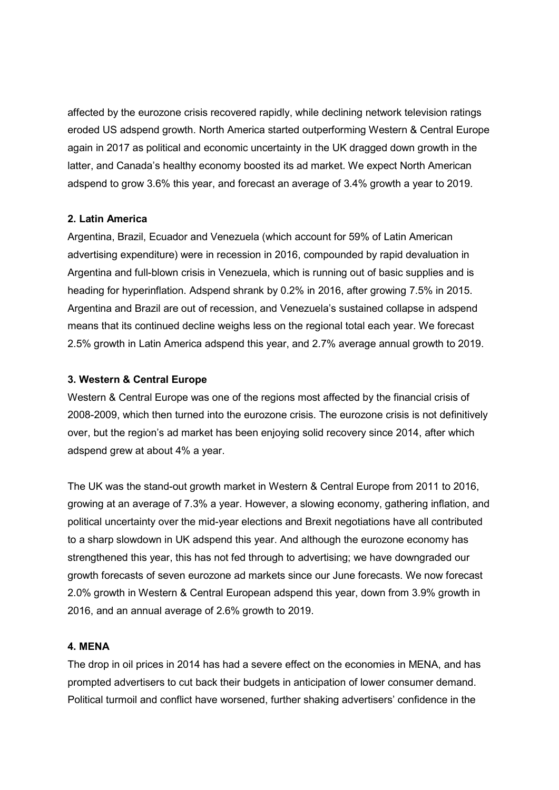affected by the eurozone crisis recovered rapidly, while declining network television ratings eroded US adspend growth. North America started outperforming Western & Central Europe again in 2017 as political and economic uncertainty in the UK dragged down growth in the latter, and Canada's healthy economy boosted its ad market. We expect North American adspend to grow 3.6% this year, and forecast an average of 3.4% growth a year to 2019.

#### 2. Latin America

Argentina, Brazil, Ecuador and Venezuela (which account for 59% of Latin American advertising expenditure) were in recession in 2016, compounded by rapid devaluation in Argentina and full-blown crisis in Venezuela, which is running out of basic supplies and is heading for hyperinflation. Adspend shrank by 0.2% in 2016, after growing 7.5% in 2015. Argentina and Brazil are out of recession, and Venezuela's sustained collapse in adspend means that its continued decline weighs less on the regional total each year. We forecast 2.5% growth in Latin America adspend this year, and 2.7% average annual growth to 2019.

#### 3. Western & Central Europe

Western & Central Europe was one of the regions most affected by the financial crisis of 2008-2009, which then turned into the eurozone crisis. The eurozone crisis is not definitively over, but the region's ad market has been enjoying solid recovery since 2014, after which adspend grew at about 4% a year.

The UK was the stand-out growth market in Western & Central Europe from 2011 to 2016, growing at an average of 7.3% a year. However, a slowing economy, gathering inflation, and political uncertainty over the mid-year elections and Brexit negotiations have all contributed to a sharp slowdown in UK adspend this year. And although the eurozone economy has strengthened this year, this has not fed through to advertising; we have downgraded our growth forecasts of seven eurozone ad markets since our June forecasts. We now forecast 2.0% growth in Western & Central European adspend this year, down from 3.9% growth in 2016, and an annual average of 2.6% growth to 2019.

#### 4. MENA

The drop in oil prices in 2014 has had a severe effect on the economies in MENA, and has prompted advertisers to cut back their budgets in anticipation of lower consumer demand. Political turmoil and conflict have worsened, further shaking advertisers' confidence in the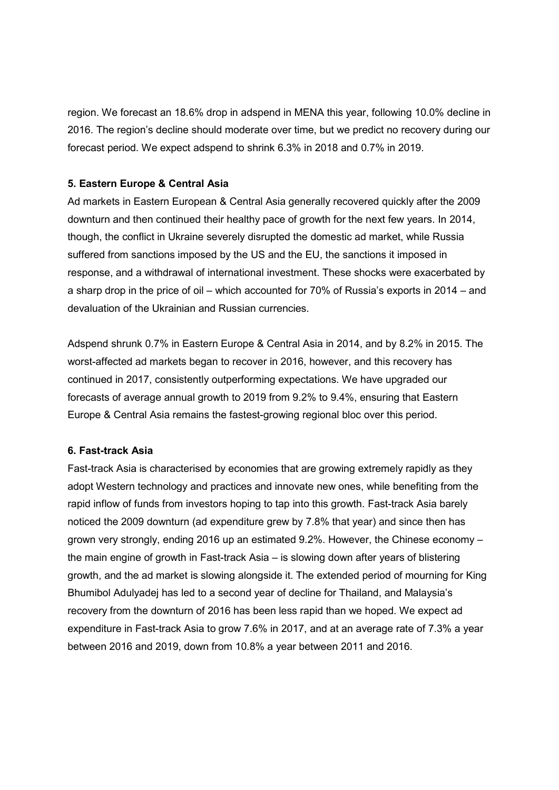region. We forecast an 18.6% drop in adspend in MENA this year, following 10.0% decline in 2016. The region's decline should moderate over time, but we predict no recovery during our forecast period. We expect adspend to shrink 6.3% in 2018 and 0.7% in 2019.

### 5. Eastern Europe & Central Asia

Ad markets in Eastern European & Central Asia generally recovered quickly after the 2009 downturn and then continued their healthy pace of growth for the next few years. In 2014, though, the conflict in Ukraine severely disrupted the domestic ad market, while Russia suffered from sanctions imposed by the US and the EU, the sanctions it imposed in response, and a withdrawal of international investment. These shocks were exacerbated by a sharp drop in the price of oil – which accounted for 70% of Russia's exports in 2014 – and devaluation of the Ukrainian and Russian currencies.

Adspend shrunk 0.7% in Eastern Europe & Central Asia in 2014, and by 8.2% in 2015. The worst-affected ad markets began to recover in 2016, however, and this recovery has continued in 2017, consistently outperforming expectations. We have upgraded our forecasts of average annual growth to 2019 from 9.2% to 9.4%, ensuring that Eastern Europe & Central Asia remains the fastest-growing regional bloc over this period.

# 6. Fast-track Asia

Fast-track Asia is characterised by economies that are growing extremely rapidly as they adopt Western technology and practices and innovate new ones, while benefiting from the rapid inflow of funds from investors hoping to tap into this growth. Fast-track Asia barely noticed the 2009 downturn (ad expenditure grew by 7.8% that year) and since then has grown very strongly, ending 2016 up an estimated 9.2%. However, the Chinese economy – the main engine of growth in Fast-track Asia – is slowing down after years of blistering growth, and the ad market is slowing alongside it. The extended period of mourning for King Bhumibol Adulyadej has led to a second year of decline for Thailand, and Malaysia's recovery from the downturn of 2016 has been less rapid than we hoped. We expect ad expenditure in Fast-track Asia to grow 7.6% in 2017, and at an average rate of 7.3% a year between 2016 and 2019, down from 10.8% a year between 2011 and 2016.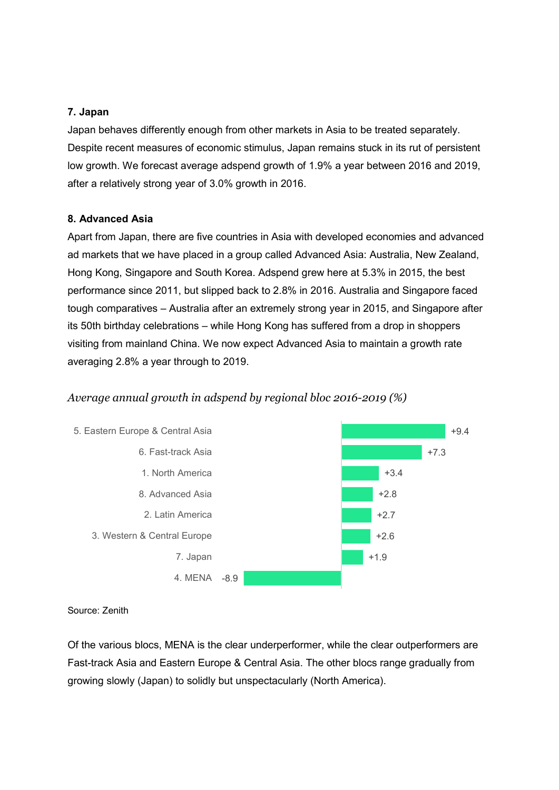### 7. Japan

Japan behaves differently enough from other markets in Asia to be treated separately. Despite recent measures of economic stimulus, Japan remains stuck in its rut of persistent low growth. We forecast average adspend growth of 1.9% a year between 2016 and 2019, after a relatively strong year of 3.0% growth in 2016.

#### 8. Advanced Asia

Apart from Japan, there are five countries in Asia with developed economies and advanced ad markets that we have placed in a group called Advanced Asia: Australia, New Zealand, Hong Kong, Singapore and South Korea. Adspend grew here at 5.3% in 2015, the best performance since 2011, but slipped back to 2.8% in 2016. Australia and Singapore faced tough comparatives – Australia after an extremely strong year in 2015, and Singapore after its 50th birthday celebrations – while Hong Kong has suffered from a drop in shoppers visiting from mainland China. We now expect Advanced Asia to maintain a growth rate averaging 2.8% a year through to 2019.

### Average annual growth in adspend by regional bloc 2016-2019 (%)



Source: Zenith

Of the various blocs, MENA is the clear underperformer, while the clear outperformers are Fast-track Asia and Eastern Europe & Central Asia. The other blocs range gradually from growing slowly (Japan) to solidly but unspectacularly (North America).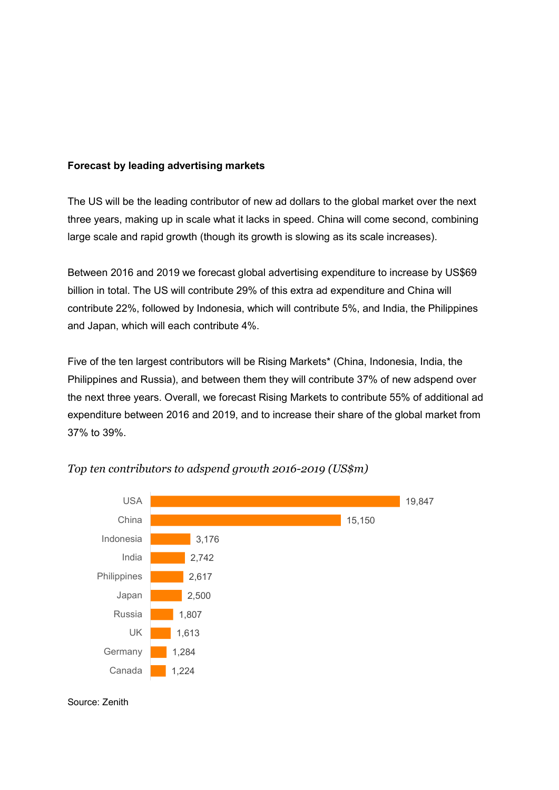### Forecast by leading advertising markets

The US will be the leading contributor of new ad dollars to the global market over the next three years, making up in scale what it lacks in speed. China will come second, combining large scale and rapid growth (though its growth is slowing as its scale increases).

Between 2016 and 2019 we forecast global advertising expenditure to increase by US\$69 billion in total. The US will contribute 29% of this extra ad expenditure and China will contribute 22%, followed by Indonesia, which will contribute 5%, and India, the Philippines and Japan, which will each contribute 4%.

Five of the ten largest contributors will be Rising Markets\* (China, Indonesia, India, the Philippines and Russia), and between them they will contribute 37% of new adspend over the next three years. Overall, we forecast Rising Markets to contribute 55% of additional ad expenditure between 2016 and 2019, and to increase their share of the global market from 37% to 39%.



Top ten contributors to adspend growth 2016-2019 (US\$m)

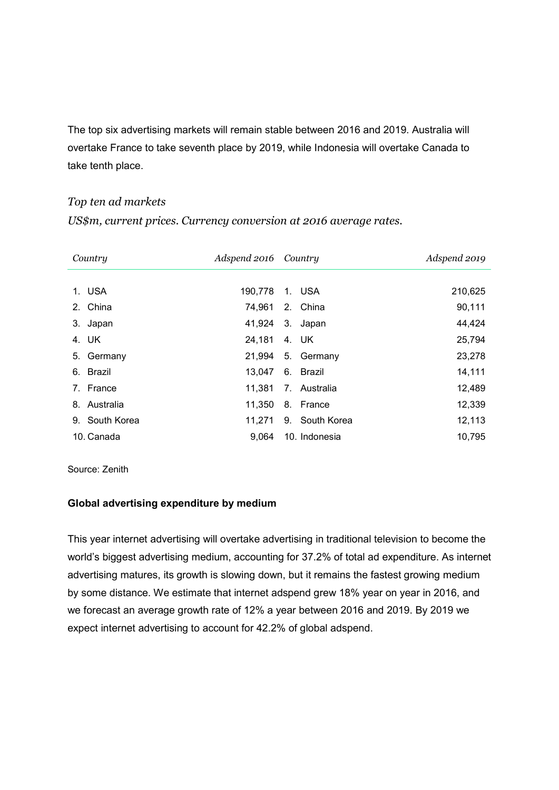The top six advertising markets will remain stable between 2016 and 2019. Australia will overtake France to take seventh place by 2019, while Indonesia will overtake Canada to take tenth place.

# Top ten ad markets

US\$m, current prices. Currency conversion at 2016 average rates.

| Country             |                | Adspend 2016 Country |               |                   | Adspend 2019 |
|---------------------|----------------|----------------------|---------------|-------------------|--------------|
|                     |                |                      |               |                   |              |
|                     | 1. USA         | 190.778              |               | 1. USA            | 210,625      |
|                     | 2. China       | 74,961               |               | 2. China          | 90,111       |
|                     | 3. Japan       | 41,924               |               | 3. Japan          | 44,424       |
|                     | 4. UK          | 24,181               |               | 4. UK             | 25,794       |
|                     | 5. Germany     |                      |               | 21,994 5. Germany | 23,278       |
|                     | 6. Brazil      | 13,047 6. Brazil     |               |                   | 14,111       |
|                     | 7. France      | 11.381               |               | 7. Australia      | 12,489       |
|                     | 8. Australia   | 11,350               |               | 8. France         | 12,339       |
|                     | 9. South Korea | 11.271               |               | 9. South Korea    | 12,113       |
| 10. Canada<br>9.064 |                |                      | 10. Indonesia | 10,795            |              |

Source: Zenith

#### Global advertising expenditure by medium

This year internet advertising will overtake advertising in traditional television to become the world's biggest advertising medium, accounting for 37.2% of total ad expenditure. As internet advertising matures, its growth is slowing down, but it remains the fastest growing medium by some distance. We estimate that internet adspend grew 18% year on year in 2016, and we forecast an average growth rate of 12% a year between 2016 and 2019. By 2019 we expect internet advertising to account for 42.2% of global adspend.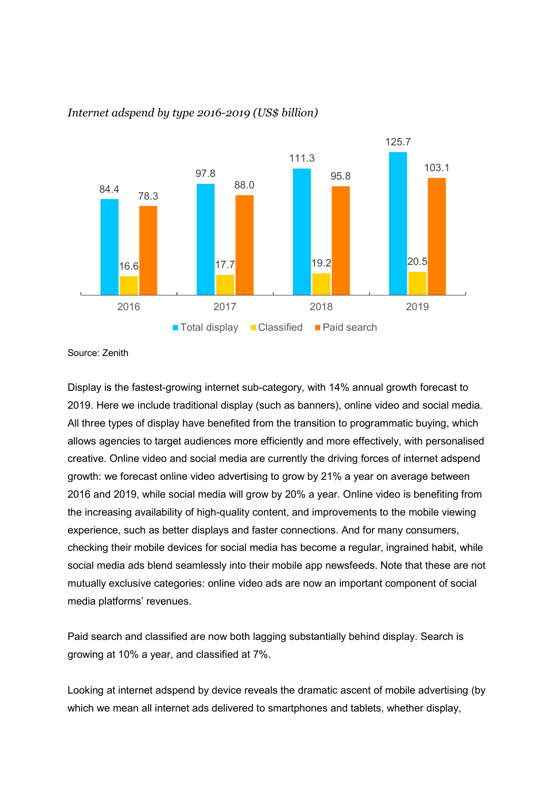

# Internet adspend by type 2016-2019 (US\$ billion)

Source: Zenith

Display is the fastest-growing internet sub-category, with 14% annual growth forecast to 2019. Here we include traditional display (such as banners), online video and social media. All three types of display have benefited from the transition to programmatic buying, which allows agencies to target audiences more efficiently and more effectively, with personalised creative. Online video and social media are currently the driving forces of internet adspend growth: we forecast online video advertising to grow by 21% a year on average between 2016 and 2019, while social media will grow by 20% a year. Online video is benefiting from the increasing availability of high-quality content, and improvements to the mobile viewing experience, such as better displays and faster connections. And for many consumers, checking their mobile devices for social media has become a regular, ingrained habit, while social media ads blend seamlessly into their mobile app newsfeeds. Note that these are not mutually exclusive categories: online video ads are now an important component of social media platforms' revenues.

Paid search and classified are now both lagging substantially behind display. Search is growing at 10% a year, and classified at 7%.

Looking at internet adspend by device reveals the dramatic ascent of mobile advertising (by which we mean all internet ads delivered to smartphones and tablets, whether display,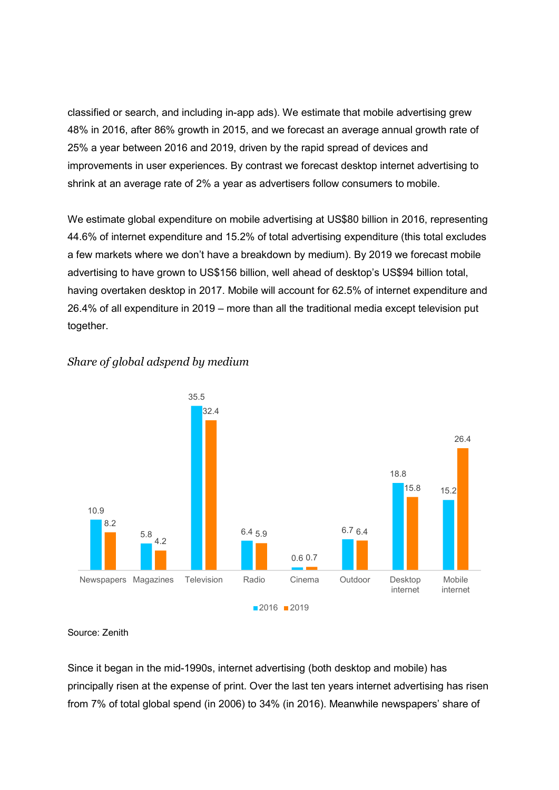classified or search, and including in-app ads). We estimate that mobile advertising grew 48% in 2016, after 86% growth in 2015, and we forecast an average annual growth rate of 25% a year between 2016 and 2019, driven by the rapid spread of devices and improvements in user experiences. By contrast we forecast desktop internet advertising to shrink at an average rate of 2% a year as advertisers follow consumers to mobile.

We estimate global expenditure on mobile advertising at US\$80 billion in 2016, representing 44.6% of internet expenditure and 15.2% of total advertising expenditure (this total excludes a few markets where we don't have a breakdown by medium). By 2019 we forecast mobile advertising to have grown to US\$156 billion, well ahead of desktop's US\$94 billion total, having overtaken desktop in 2017. Mobile will account for 62.5% of internet expenditure and 26.4% of all expenditure in 2019 – more than all the traditional media except television put together.



# Share of global adspend by medium

Source: Zenith

Since it began in the mid-1990s, internet advertising (both desktop and mobile) has principally risen at the expense of print. Over the last ten years internet advertising has risen from 7% of total global spend (in 2006) to 34% (in 2016). Meanwhile newspapers' share of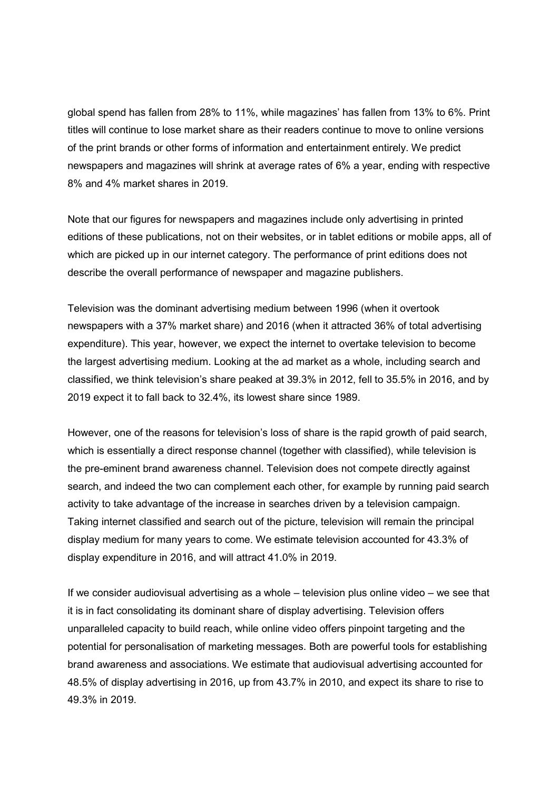global spend has fallen from 28% to 11%, while magazines' has fallen from 13% to 6%. Print titles will continue to lose market share as their readers continue to move to online versions of the print brands or other forms of information and entertainment entirely. We predict newspapers and magazines will shrink at average rates of 6% a year, ending with respective 8% and 4% market shares in 2019.

Note that our figures for newspapers and magazines include only advertising in printed editions of these publications, not on their websites, or in tablet editions or mobile apps, all of which are picked up in our internet category. The performance of print editions does not describe the overall performance of newspaper and magazine publishers.

Television was the dominant advertising medium between 1996 (when it overtook newspapers with a 37% market share) and 2016 (when it attracted 36% of total advertising expenditure). This year, however, we expect the internet to overtake television to become the largest advertising medium. Looking at the ad market as a whole, including search and classified, we think television's share peaked at 39.3% in 2012, fell to 35.5% in 2016, and by 2019 expect it to fall back to 32.4%, its lowest share since 1989.

However, one of the reasons for television's loss of share is the rapid growth of paid search, which is essentially a direct response channel (together with classified), while television is the pre-eminent brand awareness channel. Television does not compete directly against search, and indeed the two can complement each other, for example by running paid search activity to take advantage of the increase in searches driven by a television campaign. Taking internet classified and search out of the picture, television will remain the principal display medium for many years to come. We estimate television accounted for 43.3% of display expenditure in 2016, and will attract 41.0% in 2019.

If we consider audiovisual advertising as a whole – television plus online video – we see that it is in fact consolidating its dominant share of display advertising. Television offers unparalleled capacity to build reach, while online video offers pinpoint targeting and the potential for personalisation of marketing messages. Both are powerful tools for establishing brand awareness and associations. We estimate that audiovisual advertising accounted for 48.5% of display advertising in 2016, up from 43.7% in 2010, and expect its share to rise to 49.3% in 2019.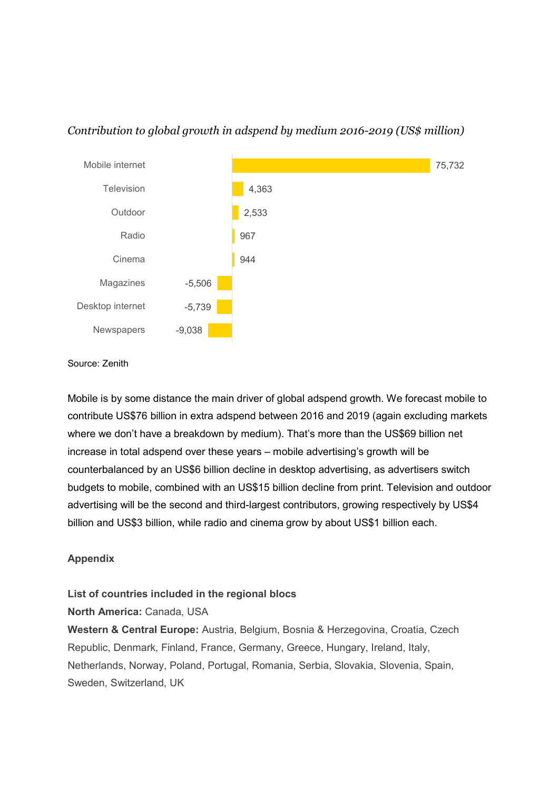

# Contribution to global growth in adspend by medium 2016-2019 (US\$ million)

Source: Zenith

Mobile is by some distance the main driver of global adspend growth. We forecast mobile to contribute US\$76 billion in extra adspend between 2016 and 2019 (again excluding markets where we don't have a breakdown by medium). That's more than the US\$69 billion net increase in total adspend over these years – mobile advertising's growth will be counterbalanced by an US\$6 billion decline in desktop advertising, as advertisers switch budgets to mobile, combined with an US\$15 billion decline from print. Television and outdoor advertising will be the second and third-largest contributors, growing respectively by US\$4 billion and US\$3 billion, while radio and cinema grow by about US\$1 billion each.

# Appendix

### List of countries included in the regional blocs

North America: Canada, USA

Western & Central Europe: Austria, Belgium, Bosnia & Herzegovina, Croatia, Czech Republic, Denmark, Finland, France, Germany, Greece, Hungary, Ireland, Italy, Netherlands, Norway, Poland, Portugal, Romania, Serbia, Slovakia, Slovenia, Spain, Sweden, Switzerland, UK